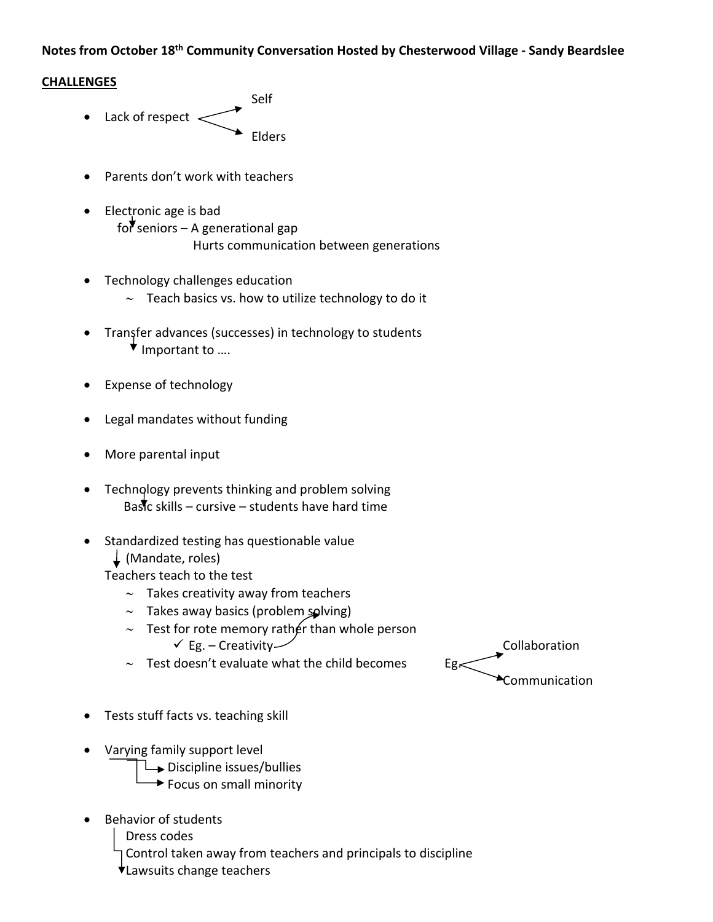## **Notes from October 18th Community Conversation Hosted by Chesterwood Village ‐ Sandy Beardslee**

## **CHALLENGES**

- **Self** Self • Lack of respect  $\lt$ Elders
	- Parents don't work with teachers
	- Electronic age is bad for seniors – A generational gap Hurts communication between generations
	- Technology challenges education
		- $\sim$  Teach basics vs. how to utilize technology to do it
	- Transfer advances (successes) in technology to students  $\star$  Important to ....
	- Expense of technology
	- Legal mandates without funding
	- More parental input
	- Technology prevents thinking and problem solving Bastc skills – cursive – students have hard time
	- Standardized testing has questionable value
		- (Mandate, roles)
		- Teachers teach to the test
			- $\sim$  Takes creativity away from teachers
			- $\sim$  Takes away basics (problem solving)
			- $\sim$  Test for rote memory rather than whole person  $\checkmark$  Eg. – Creativity  $\checkmark$
			- $\sim$  Test doesn't evaluate what the child becomes Eg.
	- Tests stuff facts vs. teaching skill
	- Varying family support level
		- $\rightarrow$  Discipline issues/bullies
		- $\rightarrow$  Focus on small minority
	- Behavior of students

Dress codes

Control taken away from teachers and principals to discipline

Lawsuits change teachers